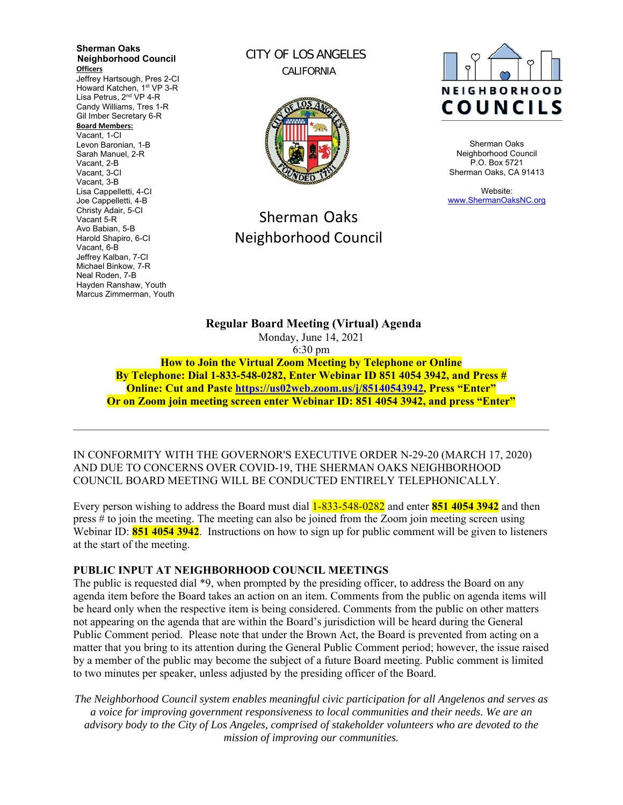**Sherman Oaks Neighborhood Council Officers**  Jeffrey Hartsough, Pres 2-CI Howard Katchen, 1<sup>st</sup> VP 3-R Lisa Petrus, 2<sup>nd</sup> VP 4-R Candy Williams, Tres 1-R Gil Imber Secretary 6-R **Board Members:** Vacant, 1-CI Levon Baronian, 1-B Sarah Manuel, 2-R Vacant, 2-B Vacant, 3-CI Vacant, 3-B Lisa Cappelletti, 4-CI Joe Cappelletti, 4-B Christy Adair, 5-CI Vacant 5-R Avo Babian, 5-B Harold Shapiro, 6-CI Vacant, 6-B Jeffrey Kalban, 7-CI Michael Binkow, 7-R Neal Roden, 7-B Hayden Ranshaw, Youth Marcus Zimmerman, Youth

CITY OF LOS ANGELES CALIFORNIA



# Sherman Oaks Neighborhood Council



Sherman Oaks Neighborhood Council P.O. Box 5721 Sherman Oaks, CA 91413

Website: www.ShermanOaksNC.org

**Regular Board Meeting (Virtual) Agenda**  Monday, June 14, 2021 6:30 pm **How to Join the Virtual Zoom Meeting by Telephone or Online By Telephone: Dial 1-833-548-0282, Enter Webinar ID 851 4054 3942, and Press #** 

**Online: Cut and Paste https://us02web.zoom.us/j/85140543942, Press "Enter" Or on Zoom join meeting screen enter Webinar ID: 851 4054 3942, and press "Enter"** 

IN CONFORMITY WITH THE GOVERNOR'S EXECUTIVE ORDER N-29-20 (MARCH 17, 2020) AND DUE TO CONCERNS OVER COVID-19, THE SHERMAN OAKS NEIGHBORHOOD COUNCIL BOARD MEETING WILL BE CONDUCTED ENTIRELY TELEPHONICALLY.

Every person wishing to address the Board must dial 1-833-548-0282 and enter **851 4054 3942** and then press # to join the meeting. The meeting can also be joined from the Zoom join meeting screen using Webinar ID: **851 4054 3942**. Instructions on how to sign up for public comment will be given to listeners at the start of the meeting.

#### **PUBLIC INPUT AT NEIGHBORHOOD COUNCIL MEETINGS**

The public is requested dial \*9, when prompted by the presiding officer, to address the Board on any agenda item before the Board takes an action on an item. Comments from the public on agenda items will be heard only when the respective item is being considered. Comments from the public on other matters not appearing on the agenda that are within the Board's jurisdiction will be heard during the General Public Comment period. Please note that under the Brown Act, the Board is prevented from acting on a matter that you bring to its attention during the General Public Comment period; however, the issue raised by a member of the public may become the subject of a future Board meeting. Public comment is limited to two minutes per speaker, unless adjusted by the presiding officer of the Board.

*The Neighborhood Council system enables meaningful civic participation for all Angelenos and serves as a voice for improving government responsiveness to local communities and their needs. We are an advisory body to the City of Los Angeles, comprised of stakeholder volunteers who are devoted to the mission of improving our communities.*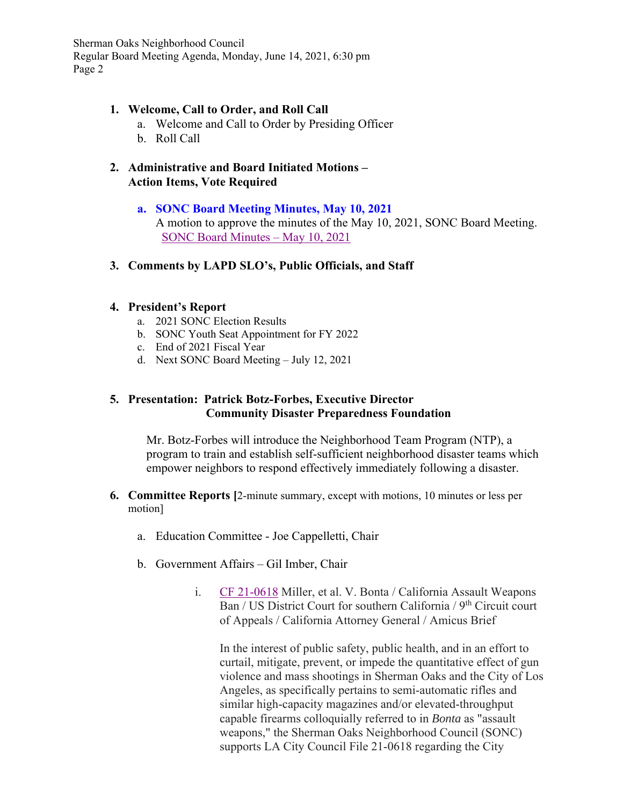#### **1. Welcome, Call to Order, and Roll Call**

- a. Welcome and Call to Order by Presiding Officer
- b. Roll Call
- **2. Administrative and Board Initiated Motions Action Items, Vote Required**

### **a. SONC Board Meeting Minutes, May 10, 2021**

A motion to approve the minutes of the May 10, 2021, SONC Board Meeting. SONC Board Minutes – May 10, 2021

**3. Comments by LAPD SLO's, Public Officials, and Staff**

#### **4. President's Report**

- a. 2021 SONC Election Results
- b. SONC Youth Seat Appointment for FY 2022
- c. End of 2021 Fiscal Year
- d. Next SONC Board Meeting July 12, 2021

### **5. Presentation: Patrick Botz-Forbes, Executive Director Community Disaster Preparedness Foundation**

Mr. Botz-Forbes will introduce the Neighborhood Team Program (NTP), a program to train and establish self-sufficient neighborhood disaster teams which empower neighbors to respond effectively immediately following a disaster.

- **6. Committee Reports [**2-minute summary, except with motions, 10 minutes or less per motion]
	- a. Education Committee Joe Cappelletti, Chair
	- b. Government Affairs Gil Imber, Chair
		- i. CF 21-0618 Miller, et al. V. Bonta / California Assault Weapons Ban / US District Court for southern California / 9<sup>th</sup> Circuit court of Appeals / California Attorney General / Amicus Brief

In the interest of public safety, public health, and in an effort to curtail, mitigate, prevent, or impede the quantitative effect of gun violence and mass shootings in Sherman Oaks and the City of Los Angeles, as specifically pertains to semi-automatic rifles and similar high-capacity magazines and/or elevated-throughput capable firearms colloquially referred to in *Bonta* as "assault weapons," the Sherman Oaks Neighborhood Council (SONC) supports LA City Council File 21-0618 regarding the City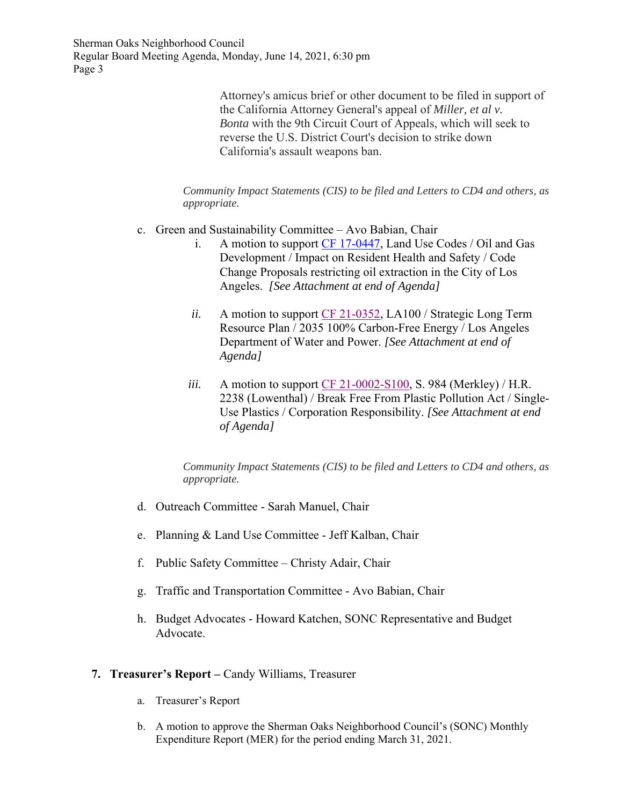> Attorney's amicus brief or other document to be filed in support of the California Attorney General's appeal of *Miller, et al v. Bonta* with the 9th Circuit Court of Appeals, which will seek to reverse the U.S. District Court's decision to strike down California's assault weapons ban.

*Community Impact Statements (CIS) to be filed and Letters to CD4 and others, as appropriate.*

- c. Green and Sustainability Committee Avo Babian, Chair
	- i. A motion to support CF 17-0447, Land Use Codes / Oil and Gas Development / Impact on Resident Health and Safety / Code Change Proposals restricting oil extraction in the City of Los Angeles. *[See Attachment at end of Agenda]*
	- *ii.* A motion to support CF 21-0352, LA100 / Strategic Long Term Resource Plan / 2035 100% Carbon-Free Energy / Los Angeles Department of Water and Power. *[See Attachment at end of Agenda]*
	- *iii.* A motion to support CF 21-0002-S100, S. 984 (Merkley) / H.R. 2238 (Lowenthal) / Break Free From Plastic Pollution Act / Single-Use Plastics / Corporation Responsibility. *[See Attachment at end of Agenda]*

*Community Impact Statements (CIS) to be filed and Letters to CD4 and others, as appropriate.*

- d. Outreach Committee Sarah Manuel, Chair
- e. Planning & Land Use Committee Jeff Kalban, Chair
- f. Public Safety Committee Christy Adair, Chair
- g. Traffic and Transportation Committee Avo Babian, Chair
- h. Budget Advocates Howard Katchen, SONC Representative and Budget Advocate.

#### **7. Treasurer's Report –** Candy Williams, Treasurer

- a. Treasurer's Report
- b. A motion to approve the Sherman Oaks Neighborhood Council's (SONC) Monthly Expenditure Report (MER) for the period ending March 31, 2021.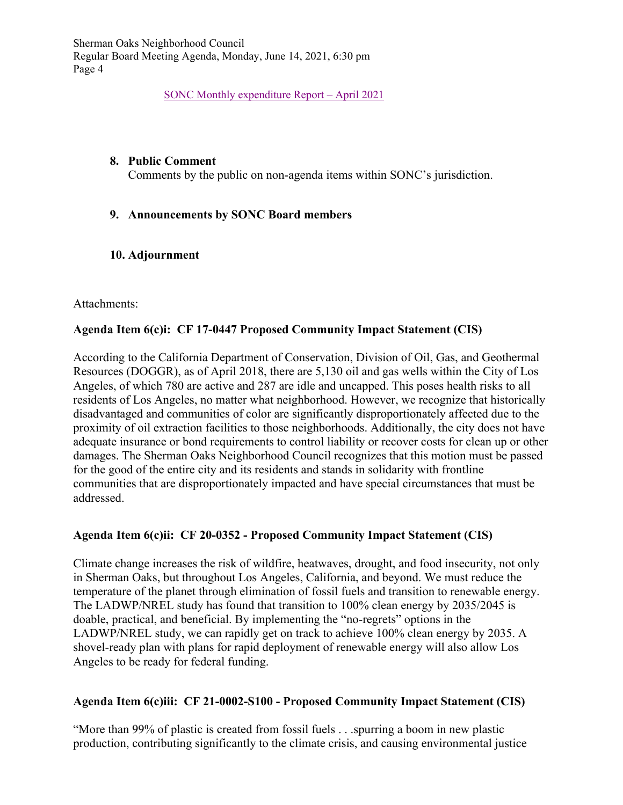SONC Monthly expenditure Report – April 2021

#### **8. Public Comment**

Comments by the public on non-agenda items within SONC's jurisdiction.

# **9. Announcements by SONC Board members**

# **10. Adjournment**

### Attachments:

# **Agenda Item 6(c)i: CF 17-0447 Proposed Community Impact Statement (CIS)**

According to the California Department of Conservation, Division of Oil, Gas, and Geothermal Resources (DOGGR), as of April 2018, there are 5,130 oil and gas wells within the City of Los Angeles, of which 780 are active and 287 are idle and uncapped. This poses health risks to all residents of Los Angeles, no matter what neighborhood. However, we recognize that historically disadvantaged and communities of color are significantly disproportionately affected due to the proximity of oil extraction facilities to those neighborhoods. Additionally, the city does not have adequate insurance or bond requirements to control liability or recover costs for clean up or other damages. The Sherman Oaks Neighborhood Council recognizes that this motion must be passed for the good of the entire city and its residents and stands in solidarity with frontline communities that are disproportionately impacted and have special circumstances that must be addressed.

# **Agenda Item 6(c)ii: CF 20-0352 - Proposed Community Impact Statement (CIS)**

Climate change increases the risk of wildfire, heatwaves, drought, and food insecurity, not only in Sherman Oaks, but throughout Los Angeles, California, and beyond. We must reduce the temperature of the planet through elimination of fossil fuels and transition to renewable energy. The LADWP/NREL study has found that transition to 100% clean energy by 2035/2045 is doable, practical, and beneficial. By implementing the "no-regrets" options in the LADWP/NREL study, we can rapidly get on track to achieve 100% clean energy by 2035. A shovel-ready plan with plans for rapid deployment of renewable energy will also allow Los Angeles to be ready for federal funding.

# **Agenda Item 6(c)iii: CF 21-0002-S100 - Proposed Community Impact Statement (CIS)**

"More than 99% of plastic is created from fossil fuels . . .spurring a boom in new plastic production, contributing significantly to the climate crisis, and causing environmental justice